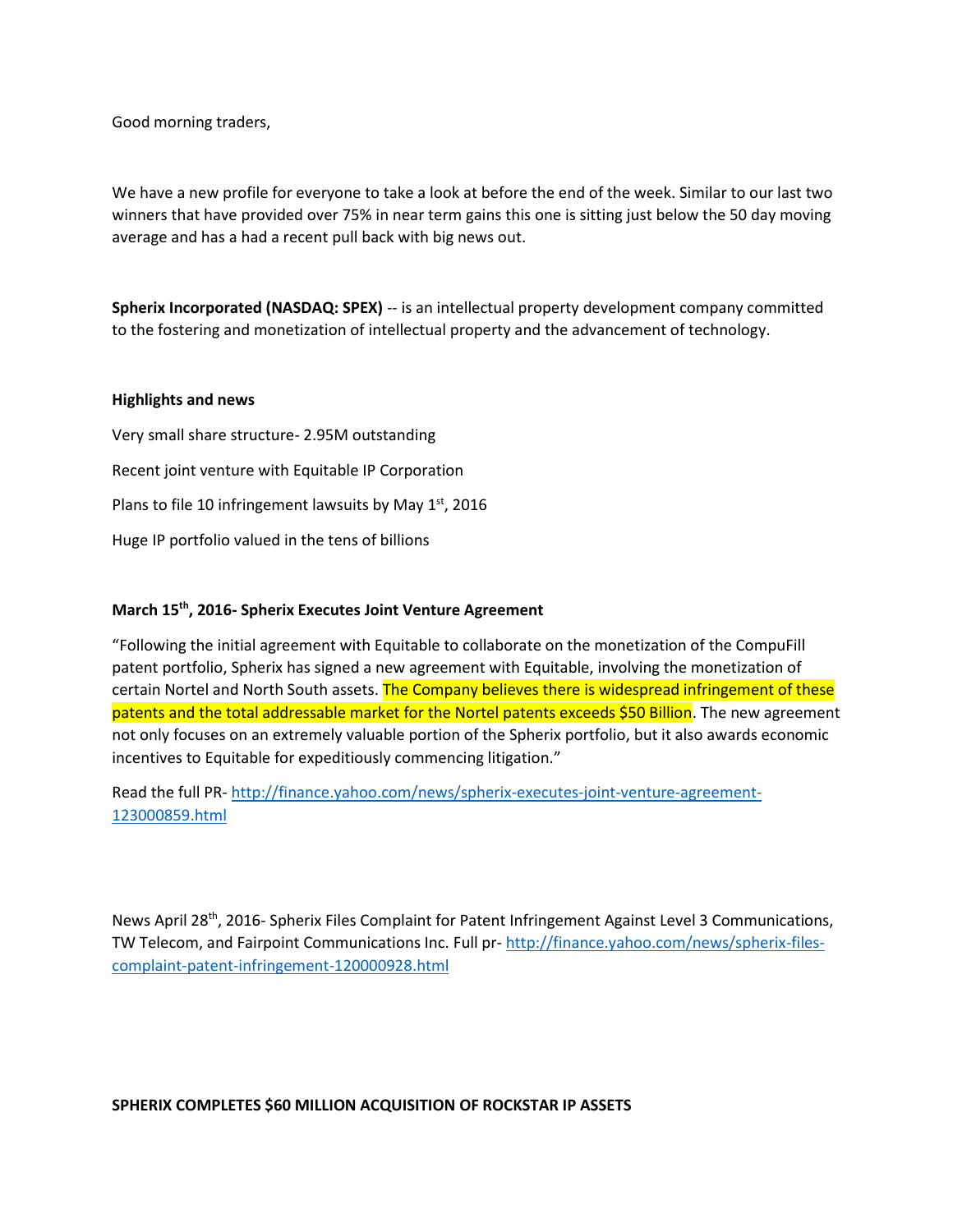Good morning traders,

We have a new profile for everyone to take a look at before the end of the week. Similar to our last two winners that have provided over 75% in near term gains this one is sitting just below the 50 day moving average and has a had a recent pull back with big news out.

**Spherix Incorporated (NASDAQ: SPEX)** -- is an intellectual property development company committed to the fostering and monetization of intellectual property and the advancement of technology.

## **Highlights and news**

Very small share structure- 2.95M outstanding Recent joint venture with Equitable IP Corporation Plans to file 10 infringement lawsuits by May 1st, 2016 Huge IP portfolio valued in the tens of billions

## **March 15th, 2016- Spherix Executes Joint Venture Agreement**

"Following the initial agreement with Equitable to collaborate on the monetization of the CompuFill patent portfolio, Spherix has signed a new agreement with Equitable, involving the monetization of certain Nortel and North South assets. The Company believes there is widespread infringement of these patents and the total addressable market for the Nortel patents exceeds \$50 Billion. The new agreement not only focuses on an extremely valuable portion of the Spherix portfolio, but it also awards economic incentives to Equitable for expeditiously commencing litigation."

Read the full PR- [http://finance.yahoo.com/news/spherix-executes-joint-venture-agreement-](http://finance.yahoo.com/news/spherix-executes-joint-venture-agreement-123000859.html)[123000859.html](http://finance.yahoo.com/news/spherix-executes-joint-venture-agreement-123000859.html)

News April 28th, 2016- Spherix Files Complaint for Patent Infringement Against Level 3 Communications, TW Telecom, and Fairpoint Communications Inc. Full pr- [http://finance.yahoo.com/news/spherix-files](http://finance.yahoo.com/news/spherix-files-complaint-patent-infringement-120000928.html)[complaint-patent-infringement-120000928.html](http://finance.yahoo.com/news/spherix-files-complaint-patent-infringement-120000928.html)

## **SPHERIX COMPLETES \$60 MILLION ACQUISITION OF ROCKSTAR IP ASSETS**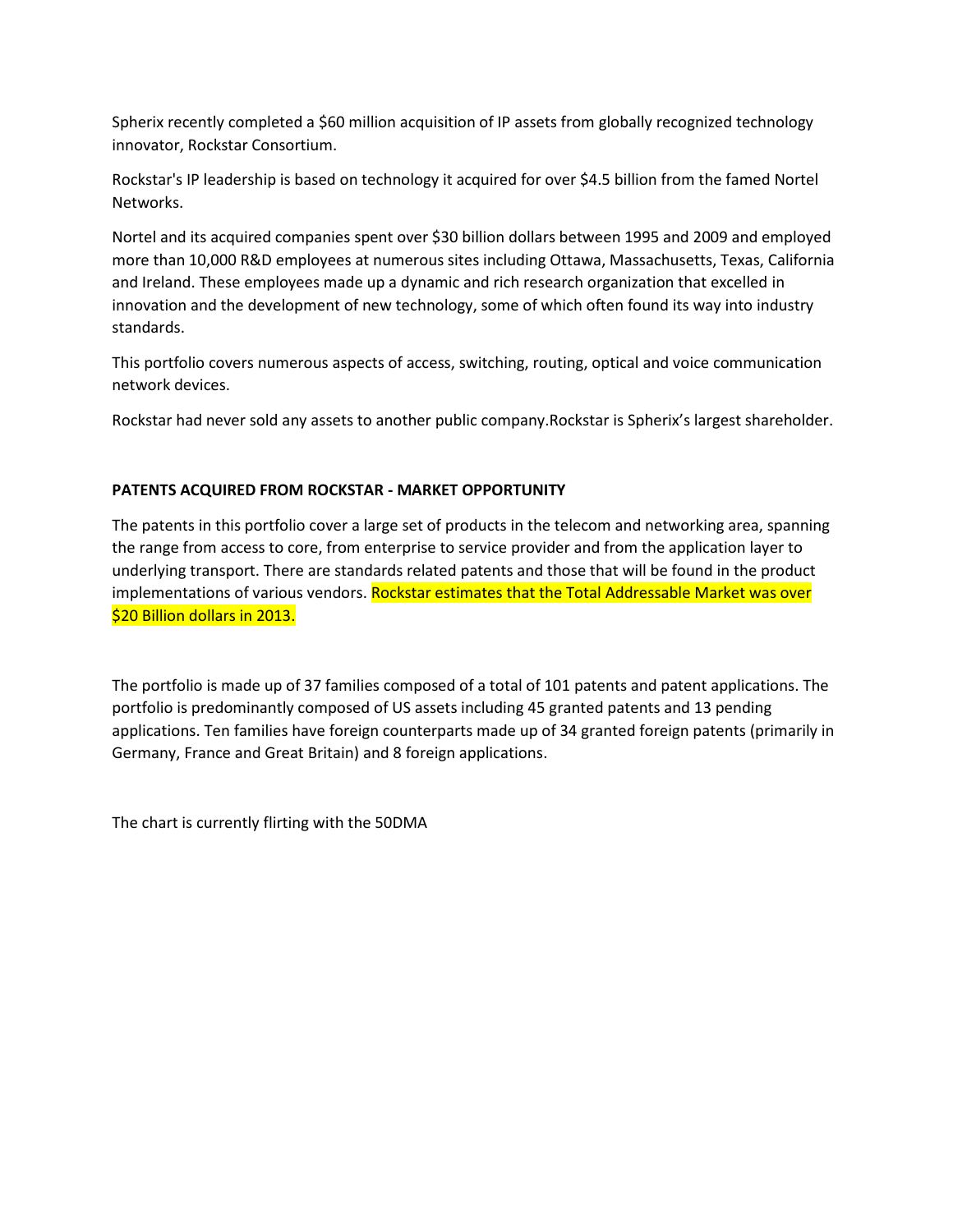Spherix recently completed a \$60 million acquisition of IP assets from globally recognized technology innovator, Rockstar Consortium.

Rockstar's IP leadership is based on technology it acquired for over \$4.5 billion from the famed Nortel Networks.

Nortel and its acquired companies spent over \$30 billion dollars between 1995 and 2009 and employed more than 10,000 R&D employees at numerous sites including Ottawa, Massachusetts, Texas, California and Ireland. These employees made up a dynamic and rich research organization that excelled in innovation and the development of new technology, some of which often found its way into industry standards.

This portfolio covers numerous aspects of access, switching, routing, optical and voice communication network devices.

Rockstar had never sold any assets to another public company.Rockstar is Spherix's largest shareholder.

## **PATENTS ACQUIRED FROM ROCKSTAR - MARKET OPPORTUNITY**

The patents in this portfolio cover a large set of products in the telecom and networking area, spanning the range from access to core, from enterprise to service provider and from the application layer to underlying transport. There are standards related patents and those that will be found in the product implementations of various vendors. Rockstar estimates that the Total Addressable Market was over \$20 Billion dollars in 2013.

The portfolio is made up of 37 families composed of a total of 101 patents and patent applications. The portfolio is predominantly composed of US assets including 45 granted patents and 13 pending applications. Ten families have foreign counterparts made up of 34 granted foreign patents (primarily in Germany, France and Great Britain) and 8 foreign applications.

The chart is currently flirting with the 50DMA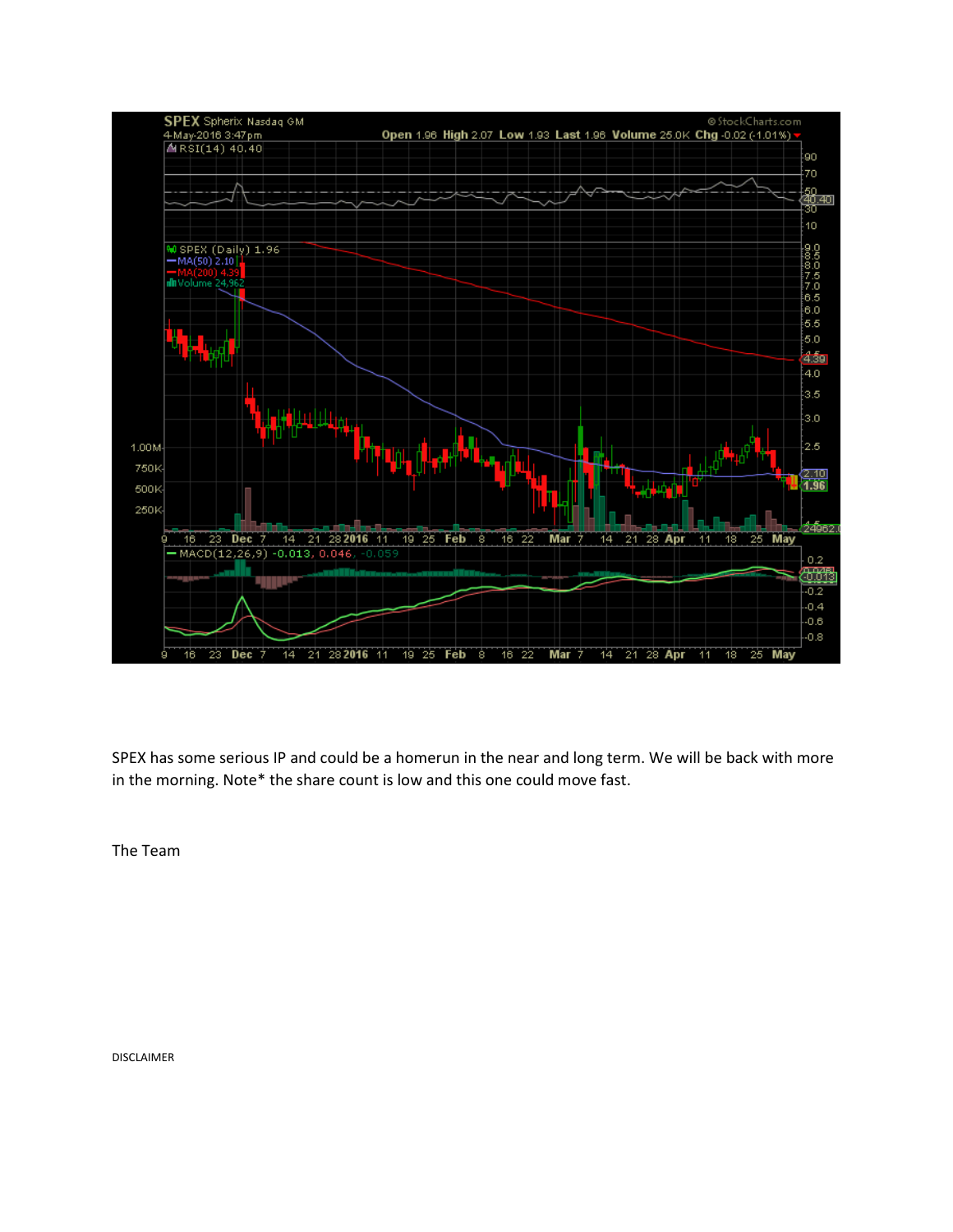

SPEX has some serious IP and could be a homerun in the near and long term. We will be back with more in the morning. Note\* the share count is low and this one could move fast.

The Team

DISCLAIMER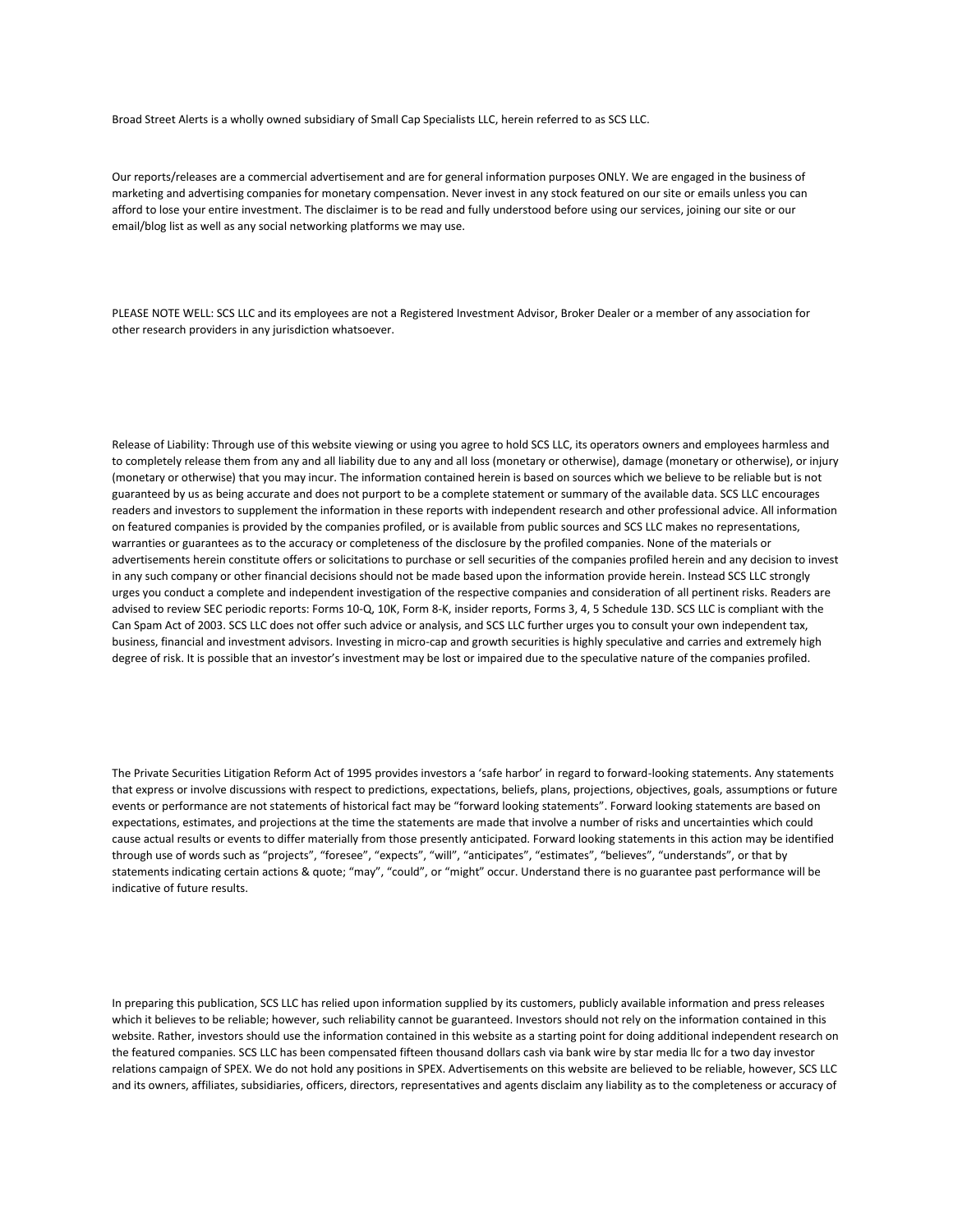Broad Street Alerts is a wholly owned subsidiary of Small Cap Specialists LLC, herein referred to as SCS LLC.

Our reports/releases are a commercial advertisement and are for general information purposes ONLY. We are engaged in the business of marketing and advertising companies for monetary compensation. Never invest in any stock featured on our site or emails unless you can afford to lose your entire investment. The disclaimer is to be read and fully understood before using our services, joining our site or our email/blog list as well as any social networking platforms we may use.

PLEASE NOTE WELL: SCS LLC and its employees are not a Registered Investment Advisor, Broker Dealer or a member of any association for other research providers in any jurisdiction whatsoever.

Release of Liability: Through use of this website viewing or using you agree to hold SCS LLC, its operators owners and employees harmless and to completely release them from any and all liability due to any and all loss (monetary or otherwise), damage (monetary or otherwise), or injury (monetary or otherwise) that you may incur. The information contained herein is based on sources which we believe to be reliable but is not guaranteed by us as being accurate and does not purport to be a complete statement or summary of the available data. SCS LLC encourages readers and investors to supplement the information in these reports with independent research and other professional advice. All information on featured companies is provided by the companies profiled, or is available from public sources and SCS LLC makes no representations, warranties or guarantees as to the accuracy or completeness of the disclosure by the profiled companies. None of the materials or advertisements herein constitute offers or solicitations to purchase or sell securities of the companies profiled herein and any decision to invest in any such company or other financial decisions should not be made based upon the information provide herein. Instead SCS LLC strongly urges you conduct a complete and independent investigation of the respective companies and consideration of all pertinent risks. Readers are advised to review SEC periodic reports: Forms 10-Q, 10K, Form 8-K, insider reports, Forms 3, 4, 5 Schedule 13D. SCS LLC is compliant with the Can Spam Act of 2003. SCS LLC does not offer such advice or analysis, and SCS LLC further urges you to consult your own independent tax, business, financial and investment advisors. Investing in micro-cap and growth securities is highly speculative and carries and extremely high degree of risk. It is possible that an investor's investment may be lost or impaired due to the speculative nature of the companies profiled.

The Private Securities Litigation Reform Act of 1995 provides investors a 'safe harbor' in regard to forward-looking statements. Any statements that express or involve discussions with respect to predictions, expectations, beliefs, plans, projections, objectives, goals, assumptions or future events or performance are not statements of historical fact may be "forward looking statements". Forward looking statements are based on expectations, estimates, and projections at the time the statements are made that involve a number of risks and uncertainties which could cause actual results or events to differ materially from those presently anticipated. Forward looking statements in this action may be identified through use of words such as "projects", "foresee", "expects", "will", "anticipates", "estimates", "believes", "understands", or that by statements indicating certain actions & quote; "may", "could", or "might" occur. Understand there is no guarantee past performance will be indicative of future results.

In preparing this publication, SCS LLC has relied upon information supplied by its customers, publicly available information and press releases which it believes to be reliable; however, such reliability cannot be guaranteed. Investors should not rely on the information contained in this website. Rather, investors should use the information contained in this website as a starting point for doing additional independent research on the featured companies. SCS LLC has been compensated fifteen thousand dollars cash via bank wire by star media llc for a two day investor relations campaign of SPEX. We do not hold any positions in SPEX. Advertisements on this website are believed to be reliable, however, SCS LLC and its owners, affiliates, subsidiaries, officers, directors, representatives and agents disclaim any liability as to the completeness or accuracy of